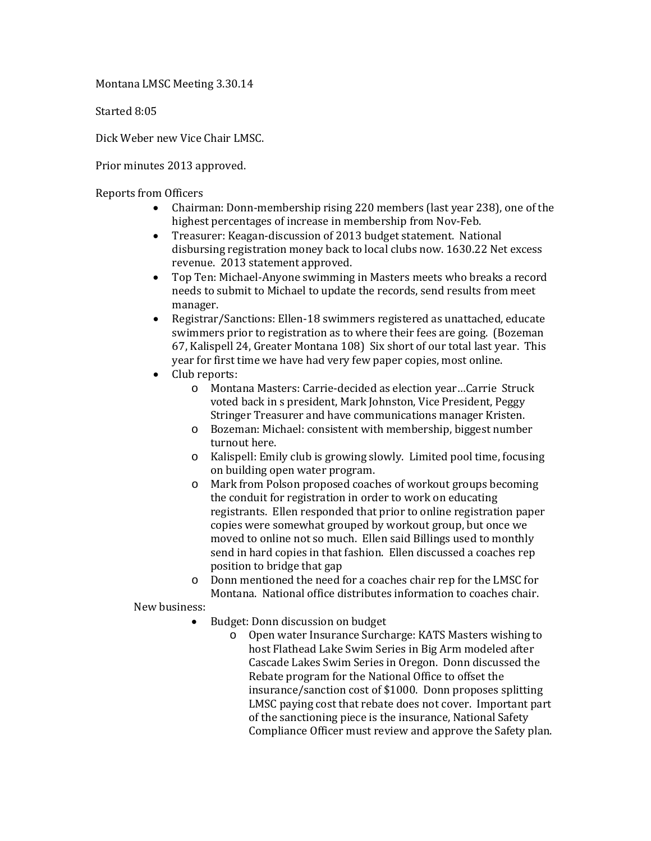Montana LMSC Meeting 3.30.14

Started 8:05

Dick Weber new Vice Chair LMSC.

Prior minutes 2013 approved.

Reports from Officers

- Chairman: Donn-membership rising 220 members (last year 238), one of the highest percentages of increase in membership from Nov-Feb.
- Treasurer: Keagan-discussion of 2013 budget statement. National disbursing registration money back to local clubs now. 1630.22 Net excess revenue. 2013 statement approved.
- Top Ten: Michael-Anyone swimming in Masters meets who breaks a record needs to submit to Michael to update the records, send results from meet manager.
- Registrar/Sanctions: Ellen-18 swimmers registered as unattached, educate swimmers prior to registration as to where their fees are going. (Bozeman 67, Kalispell 24, Greater Montana 108) Six short of our total last year. This year for first time we have had very few paper copies, most online.
- Club reports:
	- o Montana Masters: Carrie-decided as election year…Carrie Struck voted back in s president, Mark Johnston, Vice President, Peggy Stringer Treasurer and have communications manager Kristen.
	- o Bozeman: Michael: consistent with membership, biggest number turnout here.
	- o Kalispell: Emily club is growing slowly. Limited pool time, focusing on building open water program.
	- o Mark from Polson proposed coaches of workout groups becoming the conduit for registration in order to work on educating registrants. Ellen responded that prior to online registration paper copies were somewhat grouped by workout group, but once we moved to online not so much. Ellen said Billings used to monthly send in hard copies in that fashion. Ellen discussed a coaches rep position to bridge that gap
	- o Donn mentioned the need for a coaches chair rep for the LMSC for Montana. National office distributes information to coaches chair.

New business:

- Budget: Donn discussion on budget<br>
o Open water Insurance Surch
	- Open water Insurance Surcharge: KATS Masters wishing to host Flathead Lake Swim Series in Big Arm modeled after Cascade Lakes Swim Series in Oregon. Donn discussed the Rebate program for the National Office to offset the insurance/sanction cost of \$1000. Donn proposes splitting LMSC paying cost that rebate does not cover. Important part of the sanctioning piece is the insurance, National Safety Compliance Officer must review and approve the Safety plan.